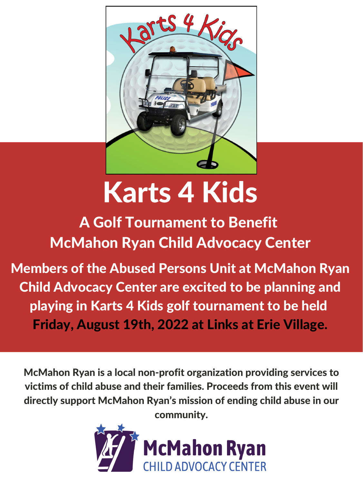McMahon Ryan is a local non-profit organization providing services to victims of child abuse and their families. Proceeds from this event will directly support McMahon Ryan's mission of ending child abuse in our community.





# Karts 4 Kids

A Golf Tournament to Benefit McMahon Ryan Child Advocacy Center

Members of the Abused Persons Unit at McMahon Ryan Child Advocacy Center are excited to be planning and playing in Karts 4 Kids golf tournament to be held Friday, August 19th, 2022 at Links at Erie Village.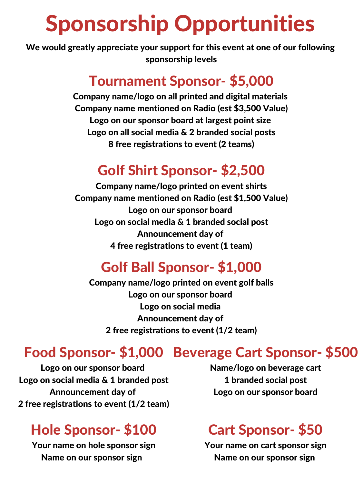## Sponsorship Opportunities

#### Tournament Sponsor- \$5,000

Company name/logo on all printed and digital materials Company name mentioned on Radio (est \$3,500 Value) Logo on our sponsor board at largest point size Logo on all social media & 2 branded social posts 8 free registrations to event (2 teams)

#### Golf Shirt Sponsor- \$2,500

Company name/logo printed on event shirts Company name mentioned on Radio (est \$1,500 Value) Logo on our sponsor board Logo on social media & 1 branded social post Announcement day of 4 free registrations to event (1 team)

#### Golf Ball Sponsor- \$1,000

Company name/logo printed on event golf balls Logo on our sponsor board Logo on social media Announcement day of 2 free registrations to event (1/2 team)

Logo on our sponsor board Logo on social media & 1 branded post Announcement day of 2 free registrations to event (1/2 team)

### Food Sponsor- \$1,000 Beverage Cart Sponsor- \$500

Name/logo on beverage cart 1 branded social post Logo on our sponsor board

#### Hole Sponsor- \$100

Your name on hole sponsor sign Name on our sponsor sign

#### Cart Sponsor- \$50

Your name on cart sponsor sign Name on our sponsor sign

We would greatly appreciate your support for this event at one of our following sponsorship levels